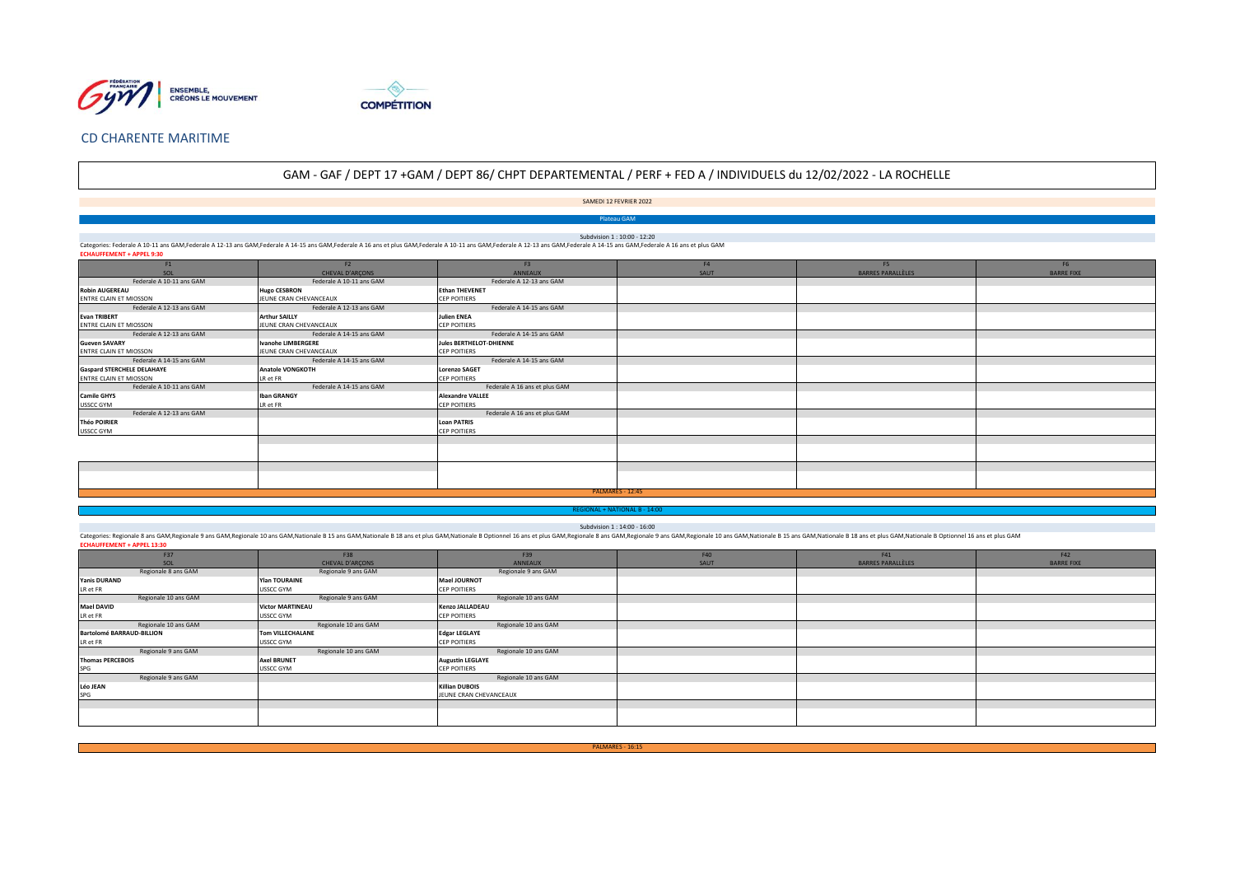



## **CD CHARENTE MARITIME**

# GAM - GAF / DEPT 17 +GAM / DEPT 86/ CHPT DEPARTEMENTAL / PERF + FED A / INDIVIDUELS du 12/02/2022 - LA ROCHELLE

SAMEDI 12 FEVRIER 2022

**Plateau GAM** 

Subdvision 1: 10:00 - 12:20

Categories: Federale A 10-11 ans GAM,Federale A 12-13 ans GAM,Federale A 14-15 ans GAM,Federale A 16 ans et plus GAM,Federale A 10-11 ans GAM,Federale A 12-13 ans GAM,Federale A 14-15 ans GAM,Federale A 14-15 ans GAM,Feder **ECHAUFFEMENT + APPEL 9:30** 

| F1                                | F2                        | F <sub>3</sub>                | F <sub>4</sub> | F <sub>5</sub>           | F <sub>6</sub>    |  |
|-----------------------------------|---------------------------|-------------------------------|----------------|--------------------------|-------------------|--|
| SOL                               | CHEVAL D'ARÇONS           | <b>ANNEAUX</b>                | SAUT           | <b>BARRES PARALLÈLES</b> | <b>BARRE FIXE</b> |  |
| Federale A 10-11 ans GAM          | Federale A 10-11 ans GAM  | Federale A 12-13 ans GAM      |                |                          |                   |  |
| <b>Robin AUGEREAU</b>             | <b>Hugo CESBRON</b>       | <b>Ethan THEVENET</b>         |                |                          |                   |  |
| ENTRE CLAIN ET MIOSSON            | JEUNE CRAN CHEVANCEAUX    | <b>CEP POITIERS</b>           |                |                          |                   |  |
| Federale A 12-13 ans GAM          | Federale A 12-13 ans GAM  | Federale A 14-15 ans GAM      |                |                          |                   |  |
| <b>Evan TRIBERT</b>               | <b>Arthur SAILLY</b>      | <b>Julien ENEA</b>            |                |                          |                   |  |
| ENTRE CLAIN ET MIOSSON            | JEUNE CRAN CHEVANCEAUX    | <b>CEP POITIERS</b>           |                |                          |                   |  |
| Federale A 12-13 ans GAM          | Federale A 14-15 ans GAM  | Federale A 14-15 ans GAM      |                |                          |                   |  |
| <b>Gueven SAVARY</b>              | <b>Ivanohe LIMBERGERE</b> | Jules BERTHELOT-DHIENNE       |                |                          |                   |  |
| ENTRE CLAIN ET MIOSSON            | JEUNE CRAN CHEVANCEAUX    | <b>CEP POITIERS</b>           |                |                          |                   |  |
| Federale A 14-15 ans GAM          | Federale A 14-15 ans GAM  | Federale A 14-15 ans GAM      |                |                          |                   |  |
| <b>Gaspard STERCHELE DELAHAYE</b> | <b>Anatole VONGKOTH</b>   | <b>Lorenzo SAGET</b>          |                |                          |                   |  |
| ENTRE CLAIN ET MIOSSON            | LR et FR                  | <b>CEP POITIERS</b>           |                |                          |                   |  |
| Federale A 10-11 ans GAM          | Federale A 14-15 ans GAM  | Federale A 16 ans et plus GAM |                |                          |                   |  |
| <b>Camile GHYS</b>                | <b>Iban GRANGY</b>        | <b>Alexandre VALLEE</b>       |                |                          |                   |  |
| <b>USSCC GYM</b>                  | LR et FR                  | <b>CEP POITIERS</b>           |                |                          |                   |  |
| Federale A 12-13 ans GAM          |                           | Federale A 16 ans et plus GAM |                |                          |                   |  |
| <b>Théo POIRIER</b>               |                           | <b>Loan PATRIS</b>            |                |                          |                   |  |
| <b>USSCC GYM</b>                  |                           | <b>CEP POITIERS</b>           |                |                          |                   |  |
|                                   |                           |                               |                |                          |                   |  |
|                                   |                           |                               |                |                          |                   |  |
|                                   |                           |                               |                |                          |                   |  |
|                                   |                           |                               |                |                          |                   |  |
|                                   |                           |                               |                |                          |                   |  |
|                                   |                           |                               |                |                          |                   |  |
| PALMARES - 12:45                  |                           |                               |                |                          |                   |  |

Subdvision 1 : 14:00 - 16:00

Categories: Regionale 8 ans GAM,Regionale 9 ans GAM,Regionale 10 ans GAM,Nationale B15 ans GAM,Nationale B15 ans GAM,Nationale B13 ans et plus GAM,Nationale B Optionnel 16 ans et plus GAM,Regionale 3 ans GAM,Regionale 3 an ECHAUFFEMENT + APPEL 13:30

| F37                              | F38                     | F39                     | F40  | F41                      | F42               |
|----------------------------------|-------------------------|-------------------------|------|--------------------------|-------------------|
| SOL                              | CHEVAL D'ARCONS         | ANNEAUX                 | SAUT | <b>BARRES PARALLÈLES</b> | <b>BARRE FIXE</b> |
| Regionale 8 ans GAM              | Regionale 9 ans GAM     | Regionale 9 ans GAM     |      |                          |                   |
| <b>Yanis DURAND</b>              | <b>Ylan TOURAINE</b>    | <b>Mael JOURNOT</b>     |      |                          |                   |
| LR et FR                         | <b>USSCC GYM</b>        | <b>CEP POITIERS</b>     |      |                          |                   |
| Regionale 10 ans GAM             | Regionale 9 ans GAM     | Regionale 10 ans GAM    |      |                          |                   |
| <b>Mael DAVID</b>                | <b>Victor MARTINEAU</b> | Kenzo JALLADEAU         |      |                          |                   |
| LR et FR                         | <b>USSCC GYM</b>        | <b>CEP POITIERS</b>     |      |                          |                   |
| Regionale 10 ans GAM             | Regionale 10 ans GAM    | Regionale 10 ans GAM    |      |                          |                   |
| <b>Bartolomé BARRAUD-BILLION</b> | <b>Tom VILLECHALANE</b> | <b>Edgar LEGLAYE</b>    |      |                          |                   |
| LR et FR                         | <b>USSCC GYM</b>        | <b>CEP POITIERS</b>     |      |                          |                   |
| Regionale 9 ans GAM              | Regionale 10 ans GAM    | Regionale 10 ans GAM    |      |                          |                   |
| <b>Thomas PERCEBOIS</b>          | <b>Axel BRUNET</b>      | <b>Augustin LEGLAYE</b> |      |                          |                   |
| SPG                              | <b>USSCC GYM</b>        | <b>CEP POITIERS</b>     |      |                          |                   |
| Regionale 9 ans GAM              |                         | Regionale 10 ans GAM    |      |                          |                   |
| <b>Léo JEAN</b>                  |                         | <b>Killian DUBOIS</b>   |      |                          |                   |
| SPG                              |                         | JEUNE CRAN CHEVANCEAUX  |      |                          |                   |
|                                  |                         |                         |      |                          |                   |
|                                  |                         |                         |      |                          |                   |
|                                  |                         |                         |      |                          |                   |